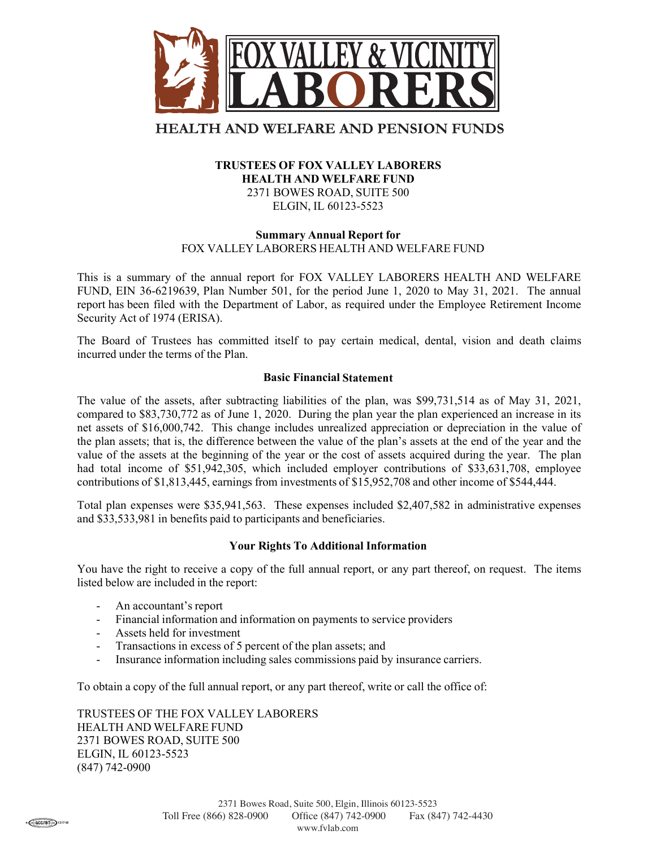

# **HEALTH AND WELFARE AND PENSION FUNDS**

## TRUSTEES OF FOX VALLEY LABORERS HEALTH AND WELFARE FUND 2371 BOWES ROAD, SUITE 500 ELGIN, IL 60123-5523

## Summary Annual Report for FOX VALLEY LABORERS HEALTH AND WELFARE FUND

This is a summary of the annual report for FOX VALLEY LABORERS HEALTH AND WELFARE FUND, EIN 36-6219639, Plan Number 501, for the period June 1, 2020 to May 31, 2021. The annual report has been filed with the Department of Labor, as required under the Employee Retirement Income Security Act of 1974 (ERISA).

The Board of Trustees has committed itself to pay certain medical, dental, vision and death claims incurred under the terms of the Plan.

## Basic Financial Statement

The value of the assets, after subtracting liabilities of the plan, was \$99,731,514 as of May 31, 2021, compared to \$83,730,772 as of June 1, 2020. During the plan year the plan experienced an increase in its net assets of \$16,000,742. This change includes unrealized appreciation or depreciation in the value of the plan assets; that is, the difference between the value of the plan's assets at the end of the year and the value of the assets at the beginning of the year or the cost of assets acquired during the year. The plan had total income of \$51,942,305, which included employer contributions of \$33,631,708, employee contributions of \$1,813,445, earnings from investments of \$15,952,708 and other income of \$544,444.

Total plan expenses were \$35,941,563. These expenses included \$2,407,582 in administrative expenses and \$33,533,981 in benefits paid to participants and beneficiaries.

#### Your Rights To Additional Information

You have the right to receive a copy of the full annual report, or any part thereof, on request. The items listed below are included in the report:

- An accountant's report
- Financial information and information on payments to service providers
- Assets held for investment
- Transactions in excess of 5 percent of the plan assets; and
- Insurance information including sales commissions paid by insurance carriers.

To obtain a copy of the full annual report, or any part thereof, write or call the office of:

TRUSTEES OF THE FOX VALLEY LABORERS HEALTH AND WELFARE FUND 2371 BOWES ROAD, SUITE 500 ELGIN, IL 60123-5523 (847) 742-0900